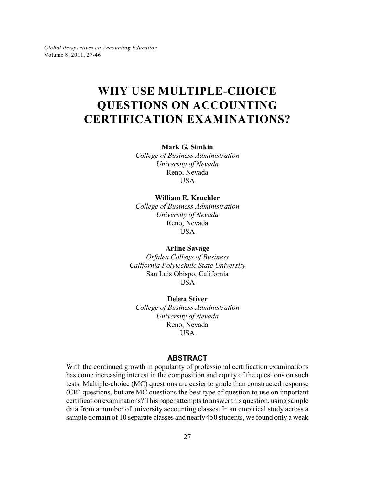*Global Perspectives on Accounting Education* Volume 8, 2011, 27-46

# **WHY USE MULTIPLE-CHOICE QUESTIONS ON ACCOUNTING CERTIFICATION EXAMINATIONS?**

**Mark G. Simkin**

*College of Business Administration University of Nevada* Reno, Nevada USA

#### **William E. Keuchler**

*College of Business Administration University of Nevada* Reno, Nevada **USA** 

**Arline Savage**

*Orfalea College of Business California Polytechnic State University* San Luis Obispo, California USA

**Debra Stiver** *College of Business Administration University of Nevada* Reno, Nevada USA

## **ABSTRACT**

With the continued growth in popularity of professional certification examinations has come increasing interest in the composition and equity of the questions on such tests. Multiple-choice (MC) questions are easier to grade than constructed response (CR) questions, but are MC questions the best type of question to use on important certification examinations? This paper attempts to answer this question, using sample data from a number of university accounting classes. In an empirical study across a sample domain of 10 separate classes and nearly 450 students, we found only a weak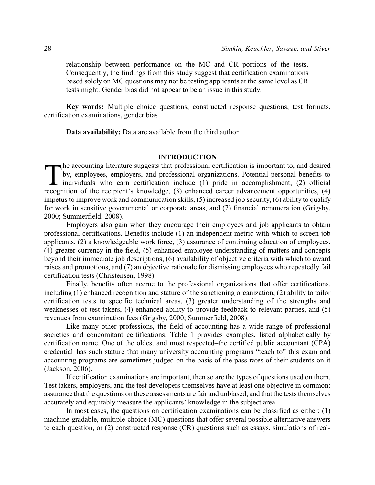relationship between performance on the MC and CR portions of the tests. Consequently, the findings from this study suggest that certification examinations based solely on MC questions may not be testing applicants at the same level as CR tests might. Gender bias did not appear to be an issue in this study.

**Key words:** Multiple choice questions, constructed response questions, test formats, certification examinations, gender bias

**Data availability:** Data are available from the third author

#### **INTRODUCTION**

 $\prod_{\text{recoor}}$ he accounting literature suggests that professional certification is important to, and desired by, employees, employers, and professional organizations. Potential personal benefits to individuals who earn certification include (1) pride in accomplishment, (2) official recognition of the recipient's knowledge, (3) enhanced career advancement opportunities, (4) impetus to improve work and communication skills, (5) increased job security, (6) ability to qualify for work in sensitive governmental or corporate areas, and (7) financial remuneration (Grigsby, 2000; Summerfield, 2008).

Employers also gain when they encourage their employees and job applicants to obtain professional certifications. Benefits include (1) an independent metric with which to screen job applicants, (2) a knowledgeable work force, (3) assurance of continuing education of employees, (4) greater currency in the field, (5) enhanced employee understanding of matters and concepts beyond their immediate job descriptions, (6) availability of objective criteria with which to award raises and promotions, and (7) an objective rationale for dismissing employees who repeatedly fail certification tests (Christensen, 1998).

Finally, benefits often accrue to the professional organizations that offer certifications, including (1) enhanced recognition and stature of the sanctioning organization, (2) ability to tailor certification tests to specific technical areas, (3) greater understanding of the strengths and weaknesses of test takers, (4) enhanced ability to provide feedback to relevant parties, and (5) revenues from examination fees (Grigsby, 2000; Summerfield, 2008).

Like many other professions, the field of accounting has a wide range of professional societies and concomitant certifications. Table 1 provides examples, listed alphabetically by certification name. One of the oldest and most respected–the certified public accountant (CPA) credential–has such stature that many university accounting programs "teach to" this exam and accounting programs are sometimes judged on the basis of the pass rates of their students on it (Jackson, 2006).

If certification examinations are important, then so are the types of questions used on them. Test takers, employers, and the test developers themselves have at least one objective in common: assurance that the questions on these assessments are fair and unbiased, and that the tests themselves accurately and equitably measure the applicants' knowledge in the subject area.

In most cases, the questions on certification examinations can be classified as either: (1) machine-gradable, multiple-choice (MC) questions that offer several possible alternative answers to each question, or (2) constructed response (CR) questions such as essays, simulations of real-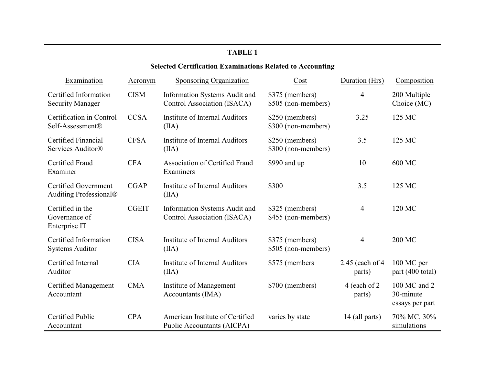## **Selected Certification Examinations Related to Accounting**

| Examination                                           | Acronym      | Sponsoring Organization                                       | Cost                                   | Duration (Hrs)             | Composition                                  |
|-------------------------------------------------------|--------------|---------------------------------------------------------------|----------------------------------------|----------------------------|----------------------------------------------|
| Certified Information<br><b>Security Manager</b>      | <b>CISM</b>  | Information Systems Audit and<br>Control Association (ISACA)  | \$375 (members)<br>\$505 (non-members) | $\overline{4}$             | 200 Multiple<br>Choice (MC)                  |
| Certification in Control<br>Self-Assessment®          | <b>CCSA</b>  | <b>Institute of Internal Auditors</b><br>(IIA)                | \$250 (members)<br>\$300 (non-members) | 3.25                       | 125 MC                                       |
| Certified Financial<br>Services Auditor®              | <b>CFSA</b>  | <b>Institute of Internal Auditors</b><br>(IIA)                | \$250 (members)<br>\$300 (non-members) | 3.5                        | 125 MC                                       |
| Certified Fraud<br>Examiner                           | <b>CFA</b>   | Association of Certified Fraud<br>Examiners                   | \$990 and up                           | 10                         | 600 MC                                       |
| <b>Certified Government</b><br>Auditing Professional® | CGAP         | Institute of Internal Auditors<br>(IIA)                       | \$300                                  | 3.5                        | 125 MC                                       |
| Certified in the<br>Governance of<br>Enterprise IT    | <b>CGEIT</b> | Information Systems Audit and<br>Control Association (ISACA)  | \$325 (members)<br>\$455 (non-members) | $\overline{4}$             | 120 MC                                       |
| Certified Information<br><b>Systems Auditor</b>       | <b>CISA</b>  | Institute of Internal Auditors<br>(IIA)                       | \$375 (members)<br>\$505 (non-members) | $\overline{4}$             | <b>200 MC</b>                                |
| Certified Internal<br>Auditor                         | <b>CIA</b>   | <b>Institute of Internal Auditors</b><br>(IIA)                | \$575 (members)                        | 2.45 (each of 4)<br>parts) | 100 MC per<br>part (400 total)               |
| <b>Certified Management</b><br>Accountant             | <b>CMA</b>   | Institute of Management<br>Accountants (IMA)                  | \$700 (members)                        | 4 (each of 2)<br>parts)    | 100 MC and 2<br>30-minute<br>essays per part |
| Certified Public<br>Accountant                        | <b>CPA</b>   | American Institute of Certified<br>Public Accountants (AICPA) | varies by state                        | 14 (all parts)             | 70% MC, 30%<br>simulations                   |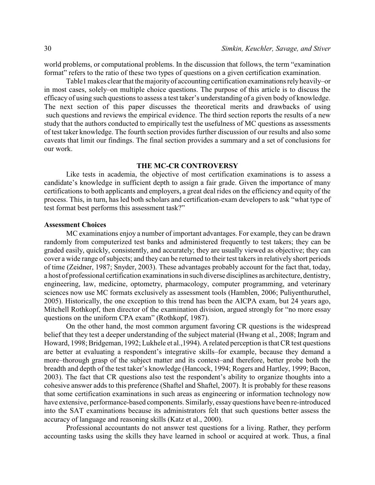world problems, or computational problems. In the discussion that follows, the term "examination format" refers to the ratio of these two types of questions on a given certification examination.

Table1 makes clear that the majorityof accounting certification examinations relyheavily–or in most cases, solely–on multiple choice questions. The purpose of this article is to discuss the efficacy of using such questions to assess a test taker's understanding of a given body of knowledge. The next section of this paper discusses the theoretical merits and drawbacks of using such questions and reviews the empirical evidence. The third section reports the results of a new study that the authors conducted to empirically test the usefulness of MC questions as assessments of test taker knowledge. The fourth section provides further discussion of our results and also some caveats that limit our findings. The final section provides a summary and a set of conclusions for our work.

#### **THE MC-CR CONTROVERSY**

Like tests in academia, the objective of most certification examinations is to assess a candidate's knowledge in sufficient depth to assign a fair grade. Given the importance of many certifications to both applicants and employers, a great deal rides on the efficiency and equity of the process. This, in turn, has led both scholars and certification-exam developers to ask "what type of test format best performs this assessment task?"

#### **Assessment Choices**

MC examinations enjoy a number of important advantages. For example, they can be drawn randomly from computerized test banks and administered frequently to test takers; they can be graded easily, quickly, consistently, and accurately; they are usually viewed as objective; they can cover a wide range of subjects; and they can be returned to their test takers in relatively short periods of time (Zeidner, 1987; Snyder, 2003). These advantages probably account for the fact that, today, a host of professional certification examinations in such diverse disciplines as architecture, dentistry, engineering, law, medicine, optometry, pharmacology, computer programming, and veterinary sciences now use MC formats exclusively as assessment tools (Hamblen, 2006; Puliyenthuruthel, 2005). Historically, the one exception to this trend has been the AICPA exam, but 24 years ago, Mitchell Rothkopf, then director of the examination division, argued strongly for "no more essay questions on the uniform CPA exam" (Rothkopf, 1987).

On the other hand, the most common argument favoring CR questions is the widespread belief that they test a deeper understanding of the subject material (Hwang et al., 2008; Ingram and Howard, 1998; Bridgeman, 1992; Lukhele et al.,1994). A related perception is that CR test questions are better at evaluating a respondent's integrative skills–for example, because they demand a more–thorough grasp of the subject matter and its context–and therefore, better probe both the breadth and depth of the test taker's knowledge (Hancock, 1994; Rogers and Hartley, 1999; Bacon, 2003). The fact that CR questions also test the respondent's ability to organize thoughts into a cohesive answer adds to this preference (Shaftel and Shaftel, 2007). It is probably for these reasons that some certification examinations in such areas as engineering or information technology now have extensive, performance-based components. Similarly, essayquestions have been re-introduced into the SAT examinations because its administrators felt that such questions better assess the accuracy of language and reasoning skills (Katz et al., 2000).

Professional accountants do not answer test questions for a living. Rather, they perform accounting tasks using the skills they have learned in school or acquired at work. Thus, a final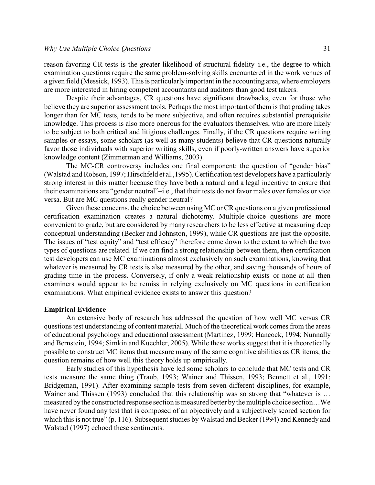reason favoring CR tests is the greater likelihood of structural fidelity–i.e., the degree to which examination questions require the same problem-solving skills encountered in the work venues of a given field (Messick, 1993). This is particularlyimportant in the accounting area, where employers are more interested in hiring competent accountants and auditors than good test takers.

Despite their advantages, CR questions have significant drawbacks, even for those who believe they are superior assessment tools. Perhaps the most important of them is that grading takes longer than for MC tests, tends to be more subjective, and often requires substantial prerequisite knowledge. This process is also more onerous for the evaluators themselves, who are more likely to be subject to both critical and litigious challenges. Finally, if the CR questions require writing samples or essays, some scholars (as well as many students) believe that CR questions naturally favor those individuals with superior writing skills, even if poorly-written answers have superior knowledge content (Zimmerman and Williams, 2003).

The MC-CR controversy includes one final component: the question of "gender bias" (Walstad and Robson, 1997; Hirschfeld et al.,1995). Certification test developers have a particularly strong interest in this matter because they have both a natural and a legal incentive to ensure that their examinations are "gender neutral"–i.e., that their tests do not favor males over females or vice versa. But are MC questions really gender neutral?

Given these concerns, the choice between using MC or CR questions on a given professional certification examination creates a natural dichotomy. Multiple-choice questions are more convenient to grade, but are considered by many researchers to be less effective at measuring deep conceptual understanding (Becker and Johnston, 1999), while CR questions are just the opposite. The issues of "test equity" and "test efficacy" therefore come down to the extent to which the two types of questions are related. If we can find a strong relationship between them, then certification test developers can use MC examinations almost exclusively on such examinations, knowing that whatever is measured by CR tests is also measured by the other, and saving thousands of hours of grading time in the process. Conversely, if only a weak relationship exists–or none at all–then examiners would appear to be remiss in relying exclusively on MC questions in certification examinations. What empirical evidence exists to answer this question?

#### **Empirical Evidence**

An extensive body of research has addressed the question of how well MC versus CR questions test understanding of content material. Much of the theoretical work comes from the areas of educational psychology and educational assessment (Martinez, 1999; Hancock, 1994; Nunnally and Bernstein, 1994; Simkin and Kuechler, 2005). While these works suggest that it is theoretically possible to construct MC items that measure many of the same cognitive abilities as CR items, the question remains of how well this theory holds up empirically.

Early studies of this hypothesis have led some scholars to conclude that MC tests and CR tests measure the same thing (Traub, 1993; Wainer and Thissen, 1993; Bennett et al., 1991; Bridgeman, 1991). After examining sample tests from seven different disciplines, for example, Wainer and Thissen (1993) concluded that this relationship was so strong that "whatever is ... measured bythe constructed response section is measured better bythe multiple choice section…We have never found any test that is composed of an objectively and a subjectively scored section for which this is not true" (p. 116). Subsequent studies by Walstad and Becker (1994) and Kennedy and Walstad (1997) echoed these sentiments.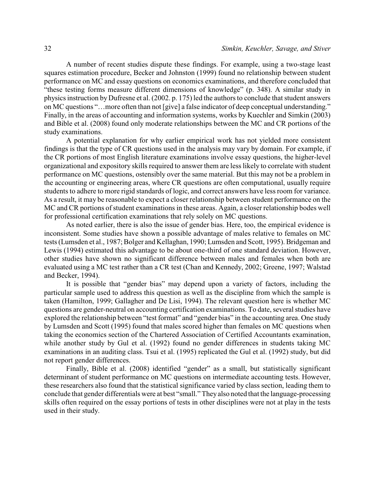A number of recent studies dispute these findings. For example, using a two-stage least squares estimation procedure, Becker and Johnston (1999) found no relationship between student performance on MC and essay questions on economics examinations, and therefore concluded that "these testing forms measure different dimensions of knowledge" (p. 348). A similar study in physics instruction by Dufresne et al. (2002. p. 175) led the authors to conclude that student answers on MC questions "…more often than not [give] a false indicator of deep conceptual understanding." Finally, in the areas of accounting and information systems, works by Kuechler and Simkin (2003) and Bible et al. (2008) found only moderate relationships between the MC and CR portions of the study examinations.

A potential explanation for why earlier empirical work has not yielded more consistent findings is that the type of CR questions used in the analysis may vary by domain. For example, if the CR portions of most English literature examinations involve essay questions, the higher-level organizational and expository skills required to answer them are less likely to correlate with student performance on MC questions, ostensibly over the same material. But this may not be a problem in the accounting or engineering areas, where CR questions are often computational, usually require students to adhere to more rigid standards of logic, and correct answers have less room for variance. As a result, it may be reasonable to expect a closer relationship between student performance on the MC and CR portions of student examinations in these areas. Again, a closer relationship bodes well for professional certification examinations that rely solely on MC questions.

As noted earlier, there is also the issue of gender bias. Here, too, the empirical evidence is inconsistent. Some studies have shown a possible advantage of males relative to females on MC tests (Lumsden et al., 1987; Bolger and Kellaghan, 1990; Lumsden and Scott, 1995). Bridgeman and Lewis (1994) estimated this advantage to be about one-third of one standard deviation. However, other studies have shown no significant difference between males and females when both are evaluated using a MC test rather than a CR test (Chan and Kennedy, 2002; Greene, 1997; Walstad and Becker, 1994).

It is possible that "gender bias" may depend upon a variety of factors, including the particular sample used to address this question as well as the discipline from which the sample is taken (Hamilton, 1999; Gallagher and De Lisi, 1994). The relevant question here is whether MC questions are gender-neutral on accounting certification examinations. To date, several studies have explored the relationship between "test format" and "gender bias" in the accounting area. One study by Lumsden and Scott (1995) found that males scored higher than females on MC questions when taking the economics section of the Chartered Association of Certified Accountants examination, while another study by Gul et al. (1992) found no gender differences in students taking MC examinations in an auditing class. Tsui et al. (1995) replicated the Gul et al. (1992) study, but did not report gender differences.

Finally, Bible et al. (2008) identified "gender" as a small, but statistically significant determinant of student performance on MC questions on intermediate accounting tests. However, these researchers also found that the statistical significance varied by class section, leading them to conclude that gender differentials were at best "small." They also noted that the language-processing skills often required on the essay portions of tests in other disciplines were not at play in the tests used in their study.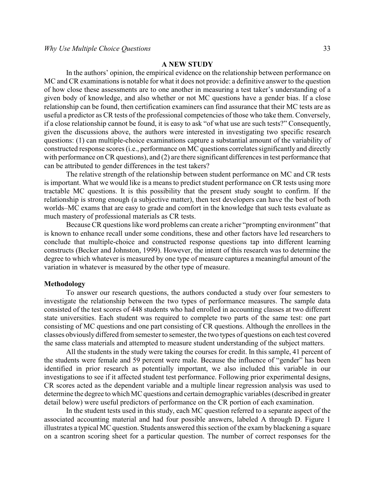#### **A NEW STUDY**

In the authors' opinion, the empirical evidence on the relationship between performance on MC and CR examinations is notable for what it does not provide: a definitive answer to the question of how close these assessments are to one another in measuring a test taker's understanding of a given body of knowledge, and also whether or not MC questions have a gender bias. If a close relationship can be found, then certification examiners can find assurance that their MC tests are as useful a predictor as CR tests of the professional competencies of those who take them. Conversely, if a close relationship cannot be found, it is easy to ask "of what use are such tests?" Consequently, given the discussions above, the authors were interested in investigating two specific research questions: (1) can multiple-choice examinations capture a substantial amount of the variability of constructed response scores (i.e., performance on MC questions correlates significantly and directly with performance on CR questions), and (2) are there significant differences in test performance that can be attributed to gender differences in the test takers?

The relative strength of the relationship between student performance on MC and CR tests is important. What we would like is a means to predict student performance on CR tests using more tractable MC questions. It is this possibility that the present study sought to confirm. If the relationship is strong enough (a subjective matter), then test developers can have the best of both worlds–MC exams that are easy to grade and comfort in the knowledge that such tests evaluate as much mastery of professional materials as CR tests.

Because CR questions like word problems can create a richer "prompting environment" that is known to enhance recall under some conditions, these and other factors have led researchers to conclude that multiple-choice and constructed response questions tap into different learning constructs (Becker and Johnston, 1999). However, the intent of this research was to determine the degree to which whatever is measured by one type of measure captures a meaningful amount of the variation in whatever is measured by the other type of measure.

#### **Methodology**

To answer our research questions, the authors conducted a study over four semesters to investigate the relationship between the two types of performance measures. The sample data consisted of the test scores of 448 students who had enrolled in accounting classes at two different state universities. Each student was required to complete two parts of the same test: one part consisting of MC questions and one part consisting of CR questions. Although the enrollees in the classes obviously differed from semester to semester, the two types of questions on each test covered the same class materials and attempted to measure student understanding of the subject matters.

All the students in the study were taking the courses for credit. In this sample, 41 percent of the students were female and 59 percent were male. Because the influence of "gender" has been identified in prior research as potentially important, we also included this variable in our investigations to see if it affected student test performance. Following prior experimental designs, CR scores acted as the dependent variable and a multiple linear regression analysis was used to determine the degree to which MC questions and certain demographic variables (described in greater detail below) were useful predictors of performance on the CR portion of each examination.

In the student tests used in this study, each MC question referred to a separate aspect of the associated accounting material and had four possible answers, labeled A through D. Figure 1 illustrates a typical MC question. Students answered this section of the exam by blackening a square on a scantron scoring sheet for a particular question. The number of correct responses for the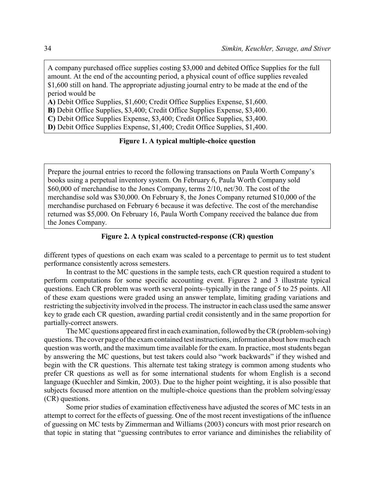A company purchased office supplies costing \$3,000 and debited Office Supplies for the full amount. At the end of the accounting period, a physical count of office supplies revealed \$1,600 still on hand. The appropriate adjusting journal entry to be made at the end of the period would be

**A)** Debit Office Supplies, \$1,600; Credit Office Supplies Expense, \$1,600.

**B)** Debit Office Supplies, \$3,400; Credit Office Supplies Expense, \$3,400.

**C)** Debit Office Supplies Expense, \$3,400; Credit Office Supplies, \$3,400.

**D)** Debit Office Supplies Expense, \$1,400; Credit Office Supplies, \$1,400.

#### **Figure 1. A typical multiple-choice question**

Prepare the journal entries to record the following transactions on Paula Worth Company's books using a perpetual inventory system. On February 6, Paula Worth Company sold \$60,000 of merchandise to the Jones Company, terms 2/10, net/30. The cost of the merchandise sold was \$30,000. On February 8, the Jones Company returned \$10,000 of the merchandise purchased on February 6 because it was defective. The cost of the merchandise returned was \$5,000. On February 16, Paula Worth Company received the balance due from the Jones Company.

#### **Figure 2. A typical constructed-response (CR) question**

different types of questions on each exam was scaled to a percentage to permit us to test student performance consistently across semesters.

In contrast to the MC questions in the sample tests, each CR question required a student to perform computations for some specific accounting event. Figures 2 and 3 illustrate typical questions. Each CR problem was worth several points–typically in the range of 5 to 25 points. All of these exam questions were graded using an answer template, limiting grading variations and restricting the subjectivity involved in the process. The instructor in each class used the same answer key to grade each CR question, awarding partial credit consistently and in the same proportion for partially-correct answers.

The MC questions appeared first in each examination, followed bytheCR (problem-solving) questions. The cover page of the exam contained test instructions, information about how much each question was worth, and the maximum time available for the exam. In practice, most students began by answering the MC questions, but test takers could also "work backwards" if they wished and begin with the CR questions. This alternate test taking strategy is common among students who prefer CR questions as well as for some international students for whom English is a second language (Kuechler and Simkin, 2003). Due to the higher point weighting, it is also possible that subjects focused more attention on the multiple-choice questions than the problem solving/essay (CR) questions.

Some prior studies of examination effectiveness have adjusted the scores of MC tests in an attempt to correct for the effects of guessing. One of the most recent investigations of the influence of guessing on MC tests by Zimmerman and Williams (2003) concurs with most prior research on that topic in stating that "guessing contributes to error variance and diminishes the reliability of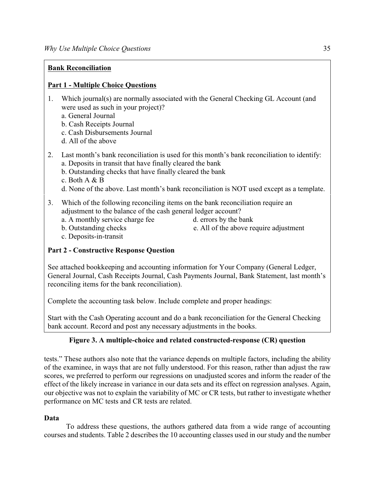## **Bank Reconciliation**

## **Part 1 - Multiple Choice Questions**

- 1. Which journal(s) are normally associated with the General Checking GL Account (and were used as such in your project)?
	- a. General Journal
	- b. Cash Receipts Journal
	- c. Cash Disbursements Journal
	- d. All of the above
- 2. Last month's bank reconciliation is used for this month's bank reconciliation to identify: a. Deposits in transit that have finally cleared the bank
	- b. Outstanding checks that have finally cleared the bank
	- c. Both A & B
	- d. None of the above. Last month's bank reconciliation is NOT used except as a template.
- 3. Which of the following reconciling items on the bank reconciliation require an adjustment to the balance of the cash general ledger account?
	- a. A monthly service charge fee d. errors by the bank
	- b. Outstanding checks e. All of the above require adjustment
- 

c. Deposits-in-transit

## **Part 2 - Constructive Response Question**

See attached bookkeeping and accounting information for Your Company (General Ledger, General Journal, Cash Receipts Journal, Cash Payments Journal, Bank Statement, last month's reconciling items for the bank reconciliation).

Complete the accounting task below. Include complete and proper headings:

Start with the Cash Operating account and do a bank reconciliation for the General Checking bank account. Record and post any necessary adjustments in the books.

## **Figure 3. A multiple-choice and related constructed-response (CR) question**

tests." These authors also note that the variance depends on multiple factors, including the ability of the examinee, in ways that are not fully understood. For this reason, rather than adjust the raw scores, we preferred to perform our regressions on unadjusted scores and inform the reader of the effect of the likely increase in variance in our data sets and its effect on regression analyses. Again, our objective was not to explain the variability of MC or CR tests, but rather to investigate whether performance on MC tests and CR tests are related.

## **Data**

To address these questions, the authors gathered data from a wide range of accounting courses and students. Table 2 describes the 10 accounting classes used in our study and the number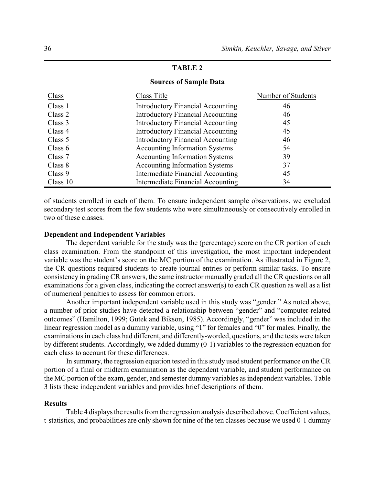#### **Sources of Sample Data**

| Class    | Class Title                              | Number of Students |
|----------|------------------------------------------|--------------------|
| Class 1  | <b>Introductory Financial Accounting</b> | 46                 |
| Class 2  | <b>Introductory Financial Accounting</b> | 46                 |
| Class 3  | <b>Introductory Financial Accounting</b> | 45                 |
| Class 4  | <b>Introductory Financial Accounting</b> | 45                 |
| Class 5  | <b>Introductory Financial Accounting</b> | 46                 |
| Class 6  | <b>Accounting Information Systems</b>    | 54                 |
| Class 7  | <b>Accounting Information Systems</b>    | 39                 |
| Class 8  | <b>Accounting Information Systems</b>    | 37                 |
| Class 9  | Intermediate Financial Accounting        | 45                 |
| Class 10 | Intermediate Financial Accounting        | 34                 |

of students enrolled in each of them. To ensure independent sample observations, we excluded secondary test scores from the few students who were simultaneously or consecutively enrolled in two of these classes.

#### **Dependent and Independent Variables**

The dependent variable for the study was the (percentage) score on the CR portion of each class examination. From the standpoint of this investigation, the most important independent variable was the student's score on the MC portion of the examination. As illustrated in Figure 2, the CR questions required students to create journal entries or perform similar tasks. To ensure consistency in grading CR answers, the same instructor manually graded all the CR questions on all examinations for a given class, indicating the correct answer(s) to each CR question as well as a list of numerical penalties to assess for common errors.

Another important independent variable used in this study was "gender." As noted above, a number of prior studies have detected a relationship between "gender" and "computer-related outcomes" (Hamilton, 1999; Gutek and Bikson, 1985). Accordingly, "gender" was included in the linear regression model as a dummy variable, using "1" for females and "0" for males. Finally, the examinations in each class had different, and differently-worded, questions, and the tests were taken by different students. Accordingly, we added dummy (0-1) variables to the regression equation for each class to account for these differences.

In summary, the regression equation tested in this study used student performance on the CR portion of a final or midterm examination as the dependent variable, and student performance on the MC portion of the exam, gender, and semester dummy variables as independent variables. Table 3 lists these independent variables and provides brief descriptions of them.

#### **Results**

Table 4 displays the results from the regression analysis described above. Coefficient values, t-statistics, and probabilities are only shown for nine of the ten classes because we used 0-1 dummy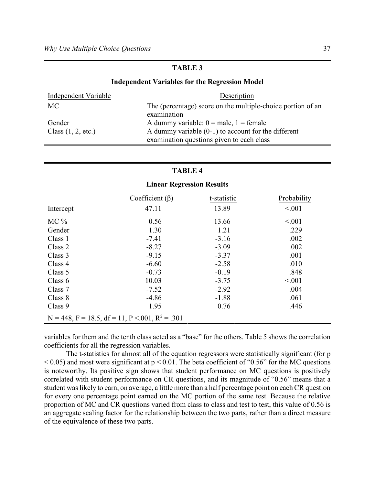#### **Independent Variables for the Regression Model**

| Independent Variable | Description                                                                |
|----------------------|----------------------------------------------------------------------------|
| MC .                 | The (percentage) score on the multiple-choice portion of an<br>examination |
| Gender               | A dummy variable: $0 =$ male, $1 =$ female                                 |
| Class $(1, 2, etc.)$ | A dummy variable $(0-1)$ to account for the different                      |
|                      | examination questions given to each class                                  |

#### **TABLE 4**

## Coefficient (β) t-statistic Probability  $\text{Intercept}$  47.11  $13.89$  <.001 MC % 0.56 13.66  $\leq 0.01$ Gender 1.30 1.21 .229 Class 1  $-7.41$   $-3.16$   $.002$  $\text{Class } 2 \quad -8.27 \quad -3.09 \quad 002$ Class 3  $-9.15$   $-3.37$   $.001$  $\text{Class } 4 \rightarrow \text{--}6.60 \rightarrow \text{--}2.58 \rightarrow \text{--}010$ Class 5  $-0.73$   $-0.19$  .848 Class 6  $10.03$   $-3.75$   $< .001$ Class 7  $-7.52$   $-2.92$   $.004$  $\text{Class } 8 \qquad \text{--} 4.86 \qquad \text{--} 1.88 \qquad \text{--} 061$ Class 9  $1.95$   $0.76$   $.446$  $N = 448$ ,  $F = 18.5$ ,  $df = 11$ ,  $P < .001$ ,  $R^2 = .301$

#### **Linear Regression Results**

variables for them and the tenth class acted as a "base" for the others. Table 5 shows the correlation coefficients for all the regression variables.

The t-statistics for almost all of the equation regressors were statistically significant (for p  $< 0.05$ ) and most were significant at  $p < 0.01$ . The beta coefficient of "0.56" for the MC questions is noteworthy. Its positive sign shows that student performance on MC questions is positively correlated with student performance on CR questions, and its magnitude of "0.56" means that a student was likely to earn, on average, a little more than a half percentage point on each CR question for every one percentage point earned on the MC portion of the same test. Because the relative proportion of MC and CR questions varied from class to class and test to test, this value of 0.56 is an aggregate scaling factor for the relationship between the two parts, rather than a direct measure of the equivalence of these two parts.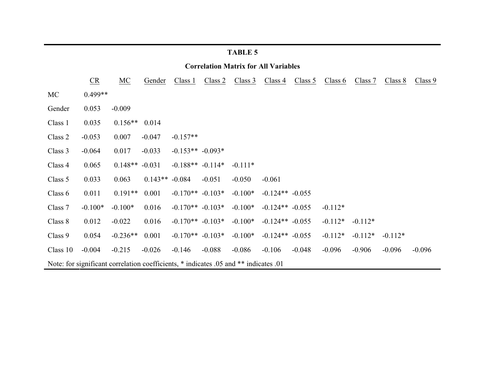| <b>Correlation Matrix for All Variables</b>                                          |           |            |           |                      |          |           |                   |          |           |           |           |          |
|--------------------------------------------------------------------------------------|-----------|------------|-----------|----------------------|----------|-----------|-------------------|----------|-----------|-----------|-----------|----------|
|                                                                                      | CR        | MC         | Gender    | Class 1              | Class 2  | Class 3   | Class 4           | Class 5  | Class 6   | Class 7   | Class 8   | Class 9  |
| <b>MC</b>                                                                            | $0.499**$ |            |           |                      |          |           |                   |          |           |           |           |          |
| Gender                                                                               | 0.053     | $-0.009$   |           |                      |          |           |                   |          |           |           |           |          |
| Class 1                                                                              | 0.035     | $0.156**$  | 0.014     |                      |          |           |                   |          |           |           |           |          |
| Class 2                                                                              | $-0.053$  | 0.007      | $-0.047$  | $-0.157**$           |          |           |                   |          |           |           |           |          |
| Class 3                                                                              | $-0.064$  | 0.017      | $-0.033$  | $-0.153** -0.093*$   |          |           |                   |          |           |           |           |          |
| Class 4                                                                              | 0.065     | $0.148**$  | $-0.031$  | $-0.188**$ $-0.114*$ |          | $-0.111*$ |                   |          |           |           |           |          |
| Class 5                                                                              | 0.033     | 0.063      | $0.143**$ | $-0.084$             | $-0.051$ | $-0.050$  | $-0.061$          |          |           |           |           |          |
| Class 6                                                                              | 0.011     | $0.191**$  | 0.001     | $-0.170**$ $-0.103*$ |          | $-0.100*$ | $-0.124** -0.055$ |          |           |           |           |          |
| Class 7                                                                              | $-0.100*$ | $-0.100*$  | 0.016     | $-0.170**$ $-0.103*$ |          | $-0.100*$ | $-0.124** -0.055$ |          | $-0.112*$ |           |           |          |
| Class 8                                                                              | 0.012     | $-0.022$   | 0.016     | $-0.170**$ $-0.103*$ |          | $-0.100*$ | $-0.124** -0.055$ |          | $-0.112*$ | $-0.112*$ |           |          |
| Class 9                                                                              | 0.054     | $-0.236**$ | 0.001     | $-0.170**$ $-0.103*$ |          | $-0.100*$ | $-0.124** -0.055$ |          | $-0.112*$ | $-0.112*$ | $-0.112*$ |          |
| Class 10                                                                             | $-0.004$  | $-0.215$   | $-0.026$  | $-0.146$             | $-0.088$ | $-0.086$  | $-0.106$          | $-0.048$ | $-0.096$  | $-0.906$  | $-0.096$  | $-0.096$ |
| Note: for significant correlation coefficients, * indicates .05 and ** indicates .01 |           |            |           |                      |          |           |                   |          |           |           |           |          |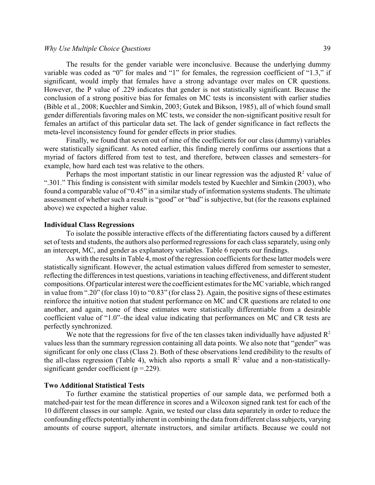#### *Why Use Multiple Choice Questions* 39

The results for the gender variable were inconclusive. Because the underlying dummy variable was coded as "0" for males and "1" for females, the regression coefficient of "1.3," if significant, would imply that females have a strong advantage over males on CR questions. However, the P value of .229 indicates that gender is not statistically significant. Because the conclusion of a strong positive bias for females on MC tests is inconsistent with earlier studies (Bible et al., 2008; Kuechler and Simkin, 2003; Gutek and Bikson, 1985), all of which found small gender differentials favoring males on MC tests, we consider the non-significant positive result for females an artifact of this particular data set. The lack of gender significance in fact reflects the meta-level inconsistency found for gender effects in prior studies.

Finally, we found that seven out of nine of the coefficients for our class (dummy) variables were statistically significant. As noted earlier, this finding merely confirms our assertions that a myriad of factors differed from test to test, and therefore, between classes and semesters–for example, how hard each test was relative to the others.

Perhaps the most important statistic in our linear regression was the adjusted  $\mathbb{R}^2$  value of ".301." This finding is consistent with similar models tested by Kuechler and Simkin (2003), who found a comparable value of "0.45" in a similar study of information systems students. The ultimate assessment of whether such a result is "good" or "bad" is subjective, but (for the reasons explained above) we expected a higher value.

#### **Individual Class Regressions**

To isolate the possible interactive effects of the differentiating factors caused by a different set of tests and students, the authors also performed regressions for each class separately, using only an intercept, MC, and gender as explanatory variables. Table 6 reports our findings.

As with the results in Table 4, most of the regression coefficients for these latter models were statistically significant. However, the actual estimation values differed from semester to semester, reflecting the differences in test questions, variations in teaching effectiveness, and different student compositions. Of particular interest were the coefficient estimates for the MC variable, which ranged in value from ".20" (for class 10) to "0.83" (for class 2). Again, the positive signs of these estimates reinforce the intuitive notion that student performance on MC and CR questions are related to one another, and again, none of these estimates were statistically differentiable from a desirable coefficient value of "1.0"–the ideal value indicating that performances on MC and CR tests are perfectly synchronized.

We note that the regressions for five of the ten classes taken individually have adjusted  $\mathbb{R}^2$ values less than the summary regression containing all data points. We also note that "gender" was significant for only one class (Class 2). Both of these observations lend credibility to the results of the all-class regression (Table 4), which also reports a small  $R<sup>2</sup>$  value and a non-statisticallysignificant gender coefficient ( $p = 229$ ).

#### **Two Additional Statistical Tests**

To further examine the statistical properties of our sample data, we performed both a matched-pair test for the mean difference in scores and a Wilcoxon signed rank test for each of the 10 different classes in our sample. Again, we tested our class data separately in order to reduce the confounding effects potentially inherent in combining the data from different class subjects, varying amounts of course support, alternate instructors, and similar artifacts. Because we could not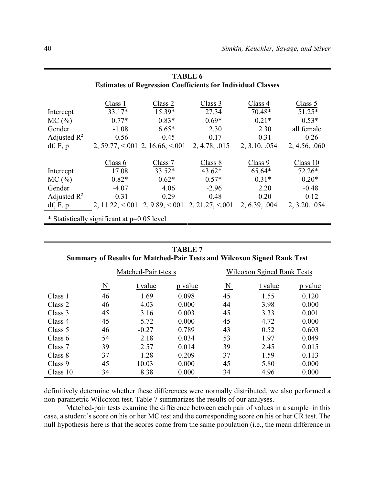| <b>TABLE 6</b>                                                     |                      |                                             |                                        |               |              |  |  |  |  |
|--------------------------------------------------------------------|----------------------|---------------------------------------------|----------------------------------------|---------------|--------------|--|--|--|--|
| <b>Estimates of Regression Coefficients for Individual Classes</b> |                      |                                             |                                        |               |              |  |  |  |  |
|                                                                    |                      |                                             |                                        |               |              |  |  |  |  |
|                                                                    | Class 1              | Class 2                                     | Class 3                                | Class 4       | Class 5      |  |  |  |  |
| Intercept                                                          | $33.17*$             | $15.39*$                                    | 27.34                                  | 70.48*        | 51.25*       |  |  |  |  |
| MC(%)                                                              | $0.77*$              | $0.83*$                                     | $0.69*$                                | $0.21*$       | $0.53*$      |  |  |  |  |
| Gender                                                             | $-1.08$              | $6.65*$                                     | 2.30                                   | 2.30          | all female   |  |  |  |  |
| Adjusted $\mathbb{R}^2$                                            | 0.56                 | 0.45                                        | 0.17                                   | 0.31          | 0.26         |  |  |  |  |
| df, F, p                                                           |                      | 2, 59.77, $\leq 0.01$ 2, 16.66, $\leq 0.01$ | 2, 4.78, 015                           | 2, 3.10, 054  | 2, 4.56, 060 |  |  |  |  |
|                                                                    |                      |                                             |                                        |               |              |  |  |  |  |
|                                                                    | Class 6              | Class 7                                     | Class 8                                | Class 9       | Class 10     |  |  |  |  |
| Intercept                                                          | 17.08                | $33.52*$                                    | $43.62*$                               | 65.64*        | $72.26*$     |  |  |  |  |
| $MC$ $(\frac{9}{6})$                                               | $0.82*$              | $0.62*$                                     | $0.57*$                                | $0.31*$       | $0.20*$      |  |  |  |  |
| Gender                                                             | $-4.07$              | 4.06                                        | $-2.96$                                | 2.20          | $-0.48$      |  |  |  |  |
| Adjusted $\mathbb{R}^2$                                            | 0.31                 | 0.29                                        | 0.48                                   | 0.20          | 0.12         |  |  |  |  |
| df, F, p                                                           | 2, $11.22, \le 0.01$ |                                             | $2, 9.89, \le 001$ $2, 21.27, \le 001$ | 2, 6.39, 0.04 | 2, 3.20, 054 |  |  |  |  |
| * Statistically significant at p=0.05 level                        |                      |                                             |                                        |               |              |  |  |  |  |

| <b>TABLE 7</b>                                                                 |
|--------------------------------------------------------------------------------|
| <b>Summary of Results for Matched-Pair Tests and Wilcoxon Signed Rank Test</b> |

|           |                         | Matched-Pair t-tests |         | Wilcoxon Sgined Rank Tests |         |         |  |
|-----------|-------------------------|----------------------|---------|----------------------------|---------|---------|--|
|           | $\overline{\mathbf{N}}$ | t value              | p value | $\overline{\mathbf{N}}$    | t value | p value |  |
| Class 1   | 46                      | 1.69                 | 0.098   | 45                         | 1.55    | 0.120   |  |
| Class 2   | 46                      | 4.03                 | 0.000   | 44                         | 3.98    | 0.000   |  |
| Class 3   | 45                      | 3.16                 | 0.003   | 45                         | 3.33    | 0.001   |  |
| Class 4   | 45                      | 5.72                 | 0.000   | 45                         | 4.72    | 0.000   |  |
| Class 5   | 46                      | $-0.27$              | 0.789   | 43                         | 0.52    | 0.603   |  |
| Class $6$ | 54                      | 2.18                 | 0.034   | 53                         | 1.97    | 0.049   |  |
| Class 7   | 39                      | 2.57                 | 0.014   | 39                         | 2.45    | 0.015   |  |
| Class 8   | 37                      | 1.28                 | 0.209   | 37                         | 1.59    | 0.113   |  |
| Class 9   | 45                      | 10.03                | 0.000   | 45                         | 5.80    | 0.000   |  |
| Class 10  | 34                      | 8.38                 | 0.000   | 34                         | 4.96    | 0.000   |  |

definitively determine whether these differences were normally distributed, we also performed a non-parametric Wilcoxon test. Table 7 summarizes the results of our analyses.

Matched-pair tests examine the difference between each pair of values in a sample–in this case, a student's score on his or her MC test and the corresponding score on his or her CR test. The null hypothesis here is that the scores come from the same population (i.e., the mean difference in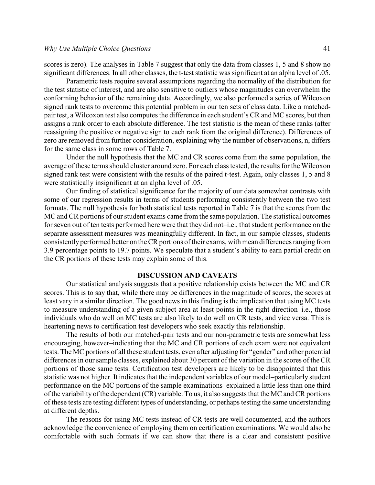scores is zero). The analyses in Table 7 suggest that only the data from classes 1, 5 and 8 show no significant differences. In all other classes, the t-test statistic was significant at an alpha level of .05.

Parametric tests require several assumptions regarding the normality of the distribution for the test statistic of interest, and are also sensitive to outliers whose magnitudes can overwhelm the conforming behavior of the remaining data. Accordingly, we also performed a series of Wilcoxon signed rank tests to overcome this potential problem in our ten sets of class data. Like a matchedpair test, a Wilcoxon test also computes the difference in each student's CR and MC scores, but then assigns a rank order to each absolute difference. The test statistic is the mean of these ranks (after reassigning the positive or negative sign to each rank from the original difference). Differences of zero are removed from further consideration, explaining why the number of observations, n, differs for the same class in some rows of Table 7.

Under the null hypothesis that the MC and CR scores come from the same population, the average of these terms should cluster around zero. For each class tested, the results for the Wilcoxon signed rank test were consistent with the results of the paired t-test. Again, only classes 1, 5 and 8 were statistically insignificant at an alpha level of .05.

Our finding of statistical significance for the majority of our data somewhat contrasts with some of our regression results in terms of students performing consistently between the two test formats. The null hypothesis for both statistical tests reported in Table 7 is that the scores from the MC and CR portions of our student exams came from the same population. The statistical outcomes for seven out of ten tests performed here were that they did not–i.e., that student performance on the separate assessment measures was meaningfully different. In fact, in our sample classes, students consistently performed better on the CR portions of their exams, with mean differences ranging from 3.9 percentage points to 19.7 points. We speculate that a student's ability to earn partial credit on the CR portions of these tests may explain some of this.

#### **DISCUSSION AND CAVEATS**

Our statistical analysis suggests that a positive relationship exists between the MC and CR scores. This is to say that, while there may be differences in the magnitude of scores, the scores at least vary in a similar direction. The good news in this finding is the implication that using MC tests to measure understanding of a given subject area at least points in the right direction–i.e., those individuals who do well on MC tests are also likely to do well on CR tests, and vice versa. This is heartening news to certification test developers who seek exactly this relationship.

The results of both our matched-pair tests and our non-parametric tests are somewhat less encouraging, however–indicating that the MC and CR portions of each exam were not equivalent tests. The MC portions of all these student tests, even after adjusting for "gender" and other potential differences in our sample classes, explained about 30 percent of the variation in the scores of the CR portions of those same tests. Certification test developers are likely to be disappointed that this statistic was not higher. It indicates that the independent variables of our model–particularly student performance on the MC portions of the sample examinations–explained a little less than one third of the variability of the dependent (CR) variable. To us, it also suggests that the MC and CR portions of these tests are testing different types of understanding, or perhaps testing the same understanding at different depths.

The reasons for using MC tests instead of CR tests are well documented, and the authors acknowledge the convenience of employing them on certification examinations. We would also be comfortable with such formats if we can show that there is a clear and consistent positive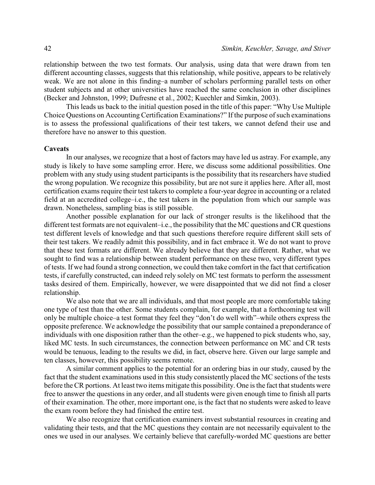relationship between the two test formats. Our analysis, using data that were drawn from ten different accounting classes, suggests that this relationship, while positive, appears to be relatively weak. We are not alone in this finding–a number of scholars performing parallel tests on other student subjects and at other universities have reached the same conclusion in other disciplines (Becker and Johnston, 1999; Dufresne et al., 2002; Kuechler and Simkin, 2003).

This leads us back to the initial question posed in the title of this paper: "Why Use Multiple Choice Questions on Accounting Certification Examinations?" If the purpose of such examinations is to assess the professional qualifications of their test takers, we cannot defend their use and therefore have no answer to this question.

#### **Caveats**

In our analyses, we recognize that a host of factors may have led us astray. For example, any study is likely to have some sampling error. Here, we discuss some additional possibilities. One problem with any study using student participants is the possibility that its researchers have studied the wrong population. We recognize this possibility, but are not sure it applies here. After all, most certification exams require their test takers to complete a four-year degree in accounting or a related field at an accredited college–i.e., the test takers in the population from which our sample was drawn. Nonetheless, sampling bias is still possible.

Another possible explanation for our lack of stronger results is the likelihood that the different test formats are not equivalent–i.e., the possibility that the MC questions and CR questions test different levels of knowledge and that such questions therefore require different skill sets of their test takers. We readily admit this possibility, and in fact embrace it. We do not want to prove that these test formats are different. We already believe that they are different. Rather, what we sought to find was a relationship between student performance on these two, very different types of tests. If we had found a strong connection, we could then take comfort in the fact that certification tests, if carefully constructed, can indeed rely solely on MC test formats to perform the assessment tasks desired of them. Empirically, however, we were disappointed that we did not find a closer relationship.

We also note that we are all individuals, and that most people are more comfortable taking one type of test than the other. Some students complain, for example, that a forthcoming test will only be multiple choice–a test format they feel they "don't do well with"–while others express the opposite preference. We acknowledge the possibility that our sample contained a preponderance of individuals with one disposition rather than the other–e.g., we happened to pick students who, say, liked MC tests. In such circumstances, the connection between performance on MC and CR tests would be tenuous, leading to the results we did, in fact, observe here. Given our large sample and ten classes, however, this possibility seems remote.

A similar comment applies to the potential for an ordering bias in our study, caused by the fact that the student examinations used in this study consistently placed the MC sections of the tests before the CR portions. At least two items mitigate this possibility. One is the fact that students were free to answer the questions in any order, and all students were given enough time to finish all parts of their examination. The other, more important one, is the fact that no students were asked to leave the exam room before they had finished the entire test.

We also recognize that certification examiners invest substantial resources in creating and validating their tests, and that the MC questions they contain are not necessarily equivalent to the ones we used in our analyses. We certainly believe that carefully-worded MC questions are better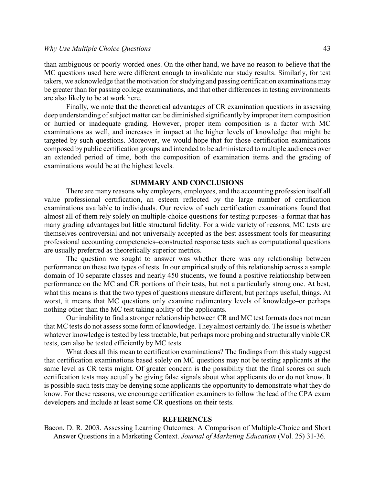than ambiguous or poorly-worded ones. On the other hand, we have no reason to believe that the MC questions used here were different enough to invalidate our study results. Similarly, for test takers, we acknowledge that the motivation for studying and passing certification examinations may be greater than for passing college examinations, and that other differences in testing environments are also likely to be at work here.

Finally, we note that the theoretical advantages of CR examination questions in assessing deep understanding of subject matter can be diminished significantly by improper item composition or hurried or inadequate grading. However, proper item composition is a factor with MC examinations as well, and increases in impact at the higher levels of knowledge that might be targeted by such questions. Moreover, we would hope that for those certification examinations composed by public certification groups and intended to be administered to multiple audiences over an extended period of time, both the composition of examination items and the grading of examinations would be at the highest levels.

#### **SUMMARY AND CONCLUSIONS**

There are many reasons why employers, employees, and the accounting profession itself all value professional certification, an esteem reflected by the large number of certification examinations available to individuals. Our review of such certification examinations found that almost all of them rely solely on multiple-choice questions for testing purposes–a format that has many grading advantages but little structural fidelity. For a wide variety of reasons, MC tests are themselves controversial and not universally accepted as the best assessment tools for measuring professional accounting competencies–constructed response tests such as computational questions are usually preferred as theoretically superior metrics.

The question we sought to answer was whether there was any relationship between performance on these two types of tests. In our empirical study of this relationship across a sample domain of 10 separate classes and nearly 450 students, we found a positive relationship between performance on the MC and CR portions of their tests, but not a particularly strong one. At best, what this means is that the two types of questions measure different, but perhaps useful, things. At worst, it means that MC questions only examine rudimentary levels of knowledge–or perhaps nothing other than the MC test taking ability of the applicants.

Our inability to find a stronger relationship between CR and MC test formats does not mean that MC tests do not assess some form of knowledge. They almost certainly do. The issue is whether whatever knowledge is tested by less tractable, but perhaps more probing and structurally viable CR tests, can also be tested efficiently by MC tests.

What does all this mean to certification examinations? The findings from this study suggest that certification examinations based solely on MC questions may not be testing applicants at the same level as CR tests might. Of greater concern is the possibility that the final scores on such certification tests may actually be giving false signals about what applicants do or do not know. It is possible such tests may be denying some applicants the opportunity to demonstrate what they do know. For these reasons, we encourage certification examiners to follow the lead of the CPA exam developers and include at least some CR questions on their tests.

#### **REFERENCES**

Bacon, D. R. 2003. Assessing Learning Outcomes: A Comparison of Multiple-Choice and Short Answer Questions in a Marketing Context. *Journal of Marketing Education* (Vol. 25) 31-36.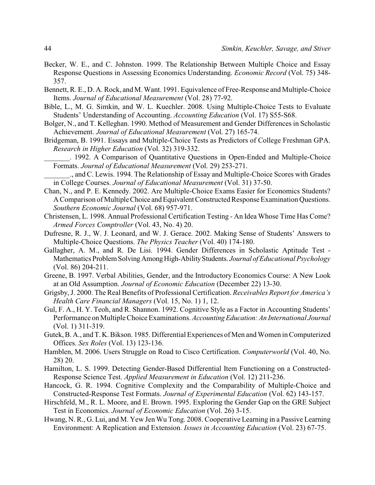- Becker, W. E., and C. Johnston. 1999. The Relationship Between Multiple Choice and Essay Response Questions in Assessing Economics Understanding. *Economic Record* (Vol. 75) 348- 357.
- Bennett, R. E., D. A. Rock, and M. Want. 1991. Equivalence of Free-Response and Multiple-Choice Items. *Journal of Educational Measurement* (Vol. 28) 77-92.
- Bible, L., M. G. Simkin, and W. L. Kuechler. 2008. Using Multiple-Choice Tests to Evaluate Students' Understanding of Accounting. *Accounting Education* (Vol. 17) S55-S68.
- Bolger, N., and T. Kelleghan. 1990. Method of Measurement and Gender Differences in Scholastic Achievement. *Journal of Educational Measurement* (Vol. 27) 165-74.
- Bridgeman, B. 1991. Essays and Multiple-Choice Tests as Predictors of College Freshman GPA. *Research in Higher Education* (Vol. 32) 319-332.
	- \_\_\_\_\_\_\_. 1992. A Comparison of Quantitative Questions in Open-Ended and Multiple-Choice Formats. *Journal of Educational Measurement* (Vol. 29) 253-271.
- \_\_\_\_\_\_\_., and C. Lewis. 1994. The Relationship of Essay and Multiple-Choice Scores with Grades in College Courses. *Journal of Educational Measurement* (Vol. 31) 37-50.
- Chan, N., and P. E. Kennedy. 2002. Are Multiple-Choice Exams Easier for Economics Students? A Comparison of Multiple Choice and Equivalent Constructed Response Examination Questions. *Southern Economic Journal* (Vol. 68) 957-971.
- Christensen, L. 1998. Annual Professional Certification Testing An Idea Whose Time Has Come? *Armed Forces Comptroller* (Vol. 43, No. 4) 20.
- Dufresne, R. J., W. J. Leonard, and W. J. Gerace. 2002. Making Sense of Students' Answers to Multiple-Choice Questions. *The Physics Teacher* (Vol. 40) 174-180.
- Gallagher, A. M., and R. De Lisi. 1994. Gender Differences in Scholastic Aptitude Test Mathematics Problem SolvingAmongHigh-AbilityStudents. *Journal of Educational Psychology* (Vol. 86) 204-211.
- Greene, B. 1997. Verbal Abilities, Gender, and the Introductory Economics Course: A New Look at an Old Assumption. *Journal of Economic Education* (December 22) 13-30.
- Grigsby, J. 2000. The Real Benefits of Professional Certification. *Receivables Report for America's Health Care Financial Managers* (Vol. 15, No. 1) 1, 12.
- Gul, F. A., H. Y. Teoh, and R. Shannon. 1992. Cognitive Style as a Factor in Accounting Students' Performance on Multiple Choice Examinations. *Accounting Education: An International Journal* (Vol. 1) 311-319.
- Gutek, B. A., and T. K. Bikson. 1985. Differential Experiences of Men and Women in Computerized Offices. *Sex Roles* (Vol. 13) 123-136.
- Hamblen, M. 2006. Users Struggle on Road to Cisco Certification. *Computerworld* (Vol. 40, No. 28) 20.
- Hamilton, L. S. 1999. Detecting Gender-Based Differential Item Functioning on a Constructed-Response Science Test. *Applied Measurement in Education* (Vol. 12) 211-236.
- Hancock, G. R. 1994. Cognitive Complexity and the Comparability of Multiple-Choice and Constructed-Response Test Formats. *Journal of Experimental Education* (Vol. 62) 143-157.
- Hirschfeld, M., R. L. Moore, and E. Brown. 1995. Exploring the Gender Gap on the GRE Subject Test in Economics. *Journal of Economic Education* (Vol. 26) 3-15.
- Hwang, N. R., G. Lui, and M. Yew Jen Wu Tong. 2008. Cooperative Learning in a Passive Learning Environment: A Replication and Extension. *Issues in Accounting Education* (Vol. 23) 67-75.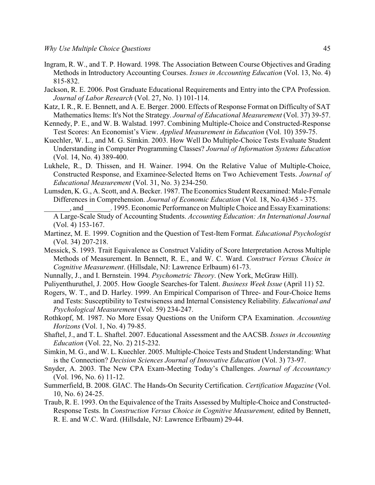- Ingram, R. W., and T. P. Howard. 1998. The Association Between Course Objectives and Grading Methods in Introductory Accounting Courses. *Issues in Accounting Education* (Vol. 13, No. 4) 815-832.
- Jackson, R. E. 2006. Post Graduate Educational Requirements and Entry into the CPA Profession. *Journal of Labor Research* (Vol. 27, No. 1) 101-114.
- Katz, I. R., R. E. Bennett, and A. E. Berger. 2000. Effects of Response Format on Difficulty of SAT Mathematics Items: It's Not the Strategy. *Journal of Educational Measurement* (Vol. 37) 39-57.
- Kennedy, P. E., and W. B. Walstad. 1997. Combining Multiple-Choice and Constructed-Response Test Scores: An Economist's View. *Applied Measurement in Education* (Vol. 10) 359-75.
- Kuechler, W. L., and M. G. Simkin. 2003. How Well Do Multiple-Choice Tests Evaluate Student Understanding in Computer Programming Classes? *Journal of Information Systems Education* (Vol. 14, No. 4) 389-400.
- Lukhele, R., D. Thissen, and H. Wainer. 1994. On the Relative Value of Multiple-Choice, Constructed Response, and Examinee-Selected Items on Two Achievement Tests. *Journal of Educational Measurement* (Vol. 31, No. 3) 234-250.
- Lumsden, K. G., A. Scott, and A. Becker. 1987. The Economics Student Reexamined: Male-Female Differences in Comprehension. *Journal of Economic Education* (Vol. 18, No.4)365 - 375.
- \_\_\_\_\_\_\_, and \_\_\_\_\_\_\_. 1995. Economic Performance on Multiple Choice and EssayExaminations: A Large-Scale Study of Accounting Students. *Accounting Education: An International Journal* (Vol. 4) 153-167.
- Martinez, M. E. 1999. Cognition and the Question of Test-Item Format. *Educational Psychologist* (Vol. 34) 207-218.
- Messick, S. 1993. Trait Equivalence as Construct Validity of Score Interpretation Across Multiple Methods of Measurement. In Bennett, R. E., and W. C. Ward. *Construct Versus Choice in Cognitive Measurement*. (Hillsdale, NJ: Lawrence Erlbaum) 61-73.
- Nunnally, J., and I. Bernstein. 1994. *Psychometric Theory*. (New York, McGraw Hill).
- Puliyenthuruthel, J. 2005. How Google Searches-for Talent. *Business Week Issue* (April 11) 52.
- Rogers, W. T., and D. Harley. 1999. An Empirical Comparison of Three- and Four-Choice Items and Tests: Susceptibility to Testwiseness and Internal Consistency Reliability. *Educational and Psychological Measurement* (Vol. 59) 234-247.
- Rothkopf, M. 1987. No More Essay Questions on the Uniform CPA Examination. *Accounting Horizons* (Vol. 1, No. 4) 79-85.
- Shaftel, J., and T. L. Shaftel. 2007. Educational Assessment and the AACSB. *Issues in Accounting Education* (Vol. 22, No. 2) 215-232.
- Simkin, M. G., and W. L. Kuechler. 2005. Multiple-Choice Tests and Student Understanding: What is the Connection? *Decision Sciences Journal of Innovative Education* (Vol. 3) 73-97.
- Snyder, A. 2003. The New CPA Exam-Meeting Today's Challenges. *Journal of Accountancy* (Vol. 196, No. 6) 11-12.
- Summerfield, B. 2008. GIAC. The Hands-On Security Certification. *Certification Magazine* (Vol. 10, No. 6) 24-25.
- Traub, R. E. 1993. On the Equivalence of the Traits Assessed by Multiple-Choice and Constructed-Response Tests. In *Construction Versus Choice in Cognitive Measurement,* edited by Bennett, R. E. and W.C. Ward. (Hillsdale, NJ: Lawrence Erlbaum) 29-44.